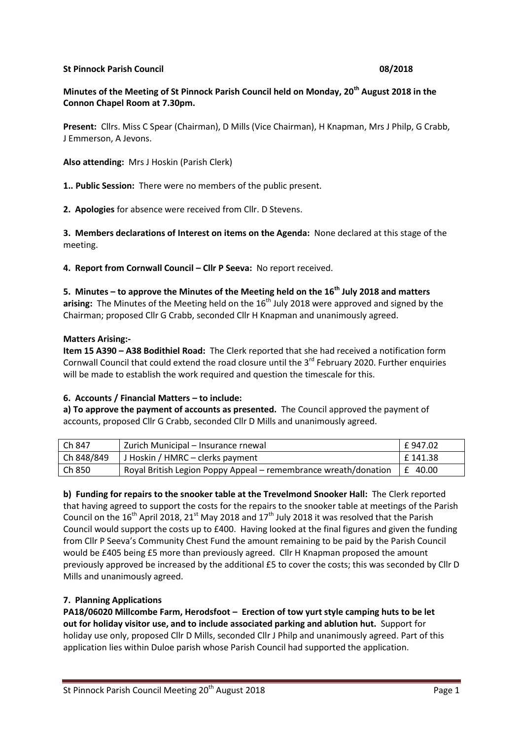#### **St Pinnock Parish Council 2008 Contract Property 2008 Contract Property 2008 08/2018**

# **Minutes of the Meeting of St Pinnock Parish Council held on Monday, 20th August 2018 in the Connon Chapel Room at 7.30pm.**

**Present:** Cllrs. Miss C Spear (Chairman), D Mills (Vice Chairman), H Knapman, Mrs J Philp, G Crabb, J Emmerson, A Jevons.

**Also attending:** Mrs J Hoskin (Parish Clerk)

**1.. Public Session:** There were no members of the public present.

**2. Apologies** for absence were received from Cllr. D Stevens.

**3. Members declarations of Interest on items on the Agenda:** None declared at this stage of the meeting.

**4. Report from Cornwall Council – Cllr P Seeva:** No report received.

#### **5. Minutes – to approve the Minutes of the Meeting held on the 16th July 2018 and matters**

arising: The Minutes of the Meeting held on the 16<sup>th</sup> July 2018 were approved and signed by the Chairman; proposed Cllr G Crabb, seconded Cllr H Knapman and unanimously agreed.

#### **Matters Arising:-**

**Item 15 A390 – A38 Bodithiel Road:** The Clerk reported that she had received a notification form Cornwall Council that could extend the road closure until the  $3^{rd}$  February 2020. Further enquiries will be made to establish the work required and question the timescale for this.

#### **6. Accounts / Financial Matters – to include:**

**a) To approve the payment of accounts as presented.** The Council approved the payment of accounts, proposed Cllr G Crabb, seconded Cllr D Mills and unanimously agreed.

| Ch 847     | Zurich Municipal – Insurance rnewal                             | £ 947.02 |
|------------|-----------------------------------------------------------------|----------|
| Ch 848/849 | J Hoskin / HMRC – clerks payment                                | £141.38  |
| Ch 850     | Royal British Legion Poppy Appeal – remembrance wreath/donation | LE 40.00 |

**b) Funding for repairs to the snooker table at the Trevelmond Snooker Hall:** The Clerk reported that having agreed to support the costs for the repairs to the snooker table at meetings of the Parish Council on the  $16<sup>th</sup>$  April 2018, 21<sup>st</sup> May 2018 and  $17<sup>th</sup>$  July 2018 it was resolved that the Parish Council would support the costs up to £400. Having looked at the final figures and given the funding from Cllr P Seeva's Community Chest Fund the amount remaining to be paid by the Parish Council would be £405 being £5 more than previously agreed. Cllr H Knapman proposed the amount previously approved be increased by the additional £5 to cover the costs; this was seconded by Cllr D Mills and unanimously agreed.

# **7. Planning Applications**

**PA18/06020 Millcombe Farm, Herodsfoot – Erection of tow yurt style camping huts to be let out for holiday visitor use, and to include associated parking and ablution hut.** Support for holiday use only, proposed Cllr D Mills, seconded Cllr J Philp and unanimously agreed. Part of this application lies within Duloe parish whose Parish Council had supported the application.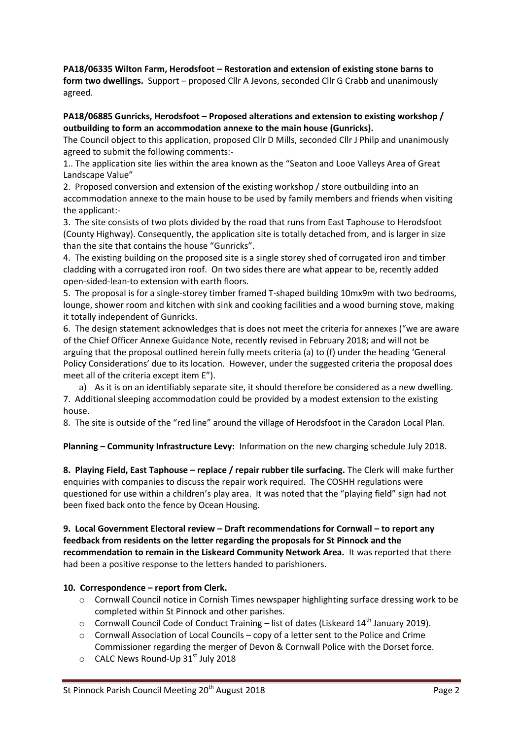# **PA18/06335 Wilton Farm, Herodsfoot – Restoration and extension of existing stone barns to**

**form two dwellings.** Support – proposed Cllr A Jevons, seconded Cllr G Crabb and unanimously agreed.

#### **PA18/06885 Gunricks, Herodsfoot – Proposed alterations and extension to existing workshop / outbuilding to form an accommodation annexe to the main house (Gunricks).**

The Council object to this application, proposed Cllr D Mills, seconded Cllr J Philp and unanimously agreed to submit the following comments:-

1.. The application site lies within the area known as the "Seaton and Looe Valleys Area of Great Landscape Value"

2. Proposed conversion and extension of the existing workshop / store outbuilding into an accommodation annexe to the main house to be used by family members and friends when visiting the applicant:-

3. The site consists of two plots divided by the road that runs from East Taphouse to Herodsfoot (County Highway). Consequently, the application site is totally detached from, and is larger in size than the site that contains the house "Gunricks".

4. The existing building on the proposed site is a single storey shed of corrugated iron and timber cladding with a corrugated iron roof. On two sides there are what appear to be, recently added open-sided-lean-to extension with earth floors.

5. The proposal is for a single-storey timber framed T-shaped building 10mx9m with two bedrooms, lounge, shower room and kitchen with sink and cooking facilities and a wood burning stove, making it totally independent of Gunricks.

6. The design statement acknowledges that is does not meet the criteria for annexes ("we are aware of the Chief Officer Annexe Guidance Note, recently revised in February 2018; and will not be arguing that the proposal outlined herein fully meets criteria (a) to (f) under the heading 'General Policy Considerations' due to its location. However, under the suggested criteria the proposal does meet all of the criteria except item E").

a) As it is on an identifiably separate site, it should therefore be considered as a new dwelling. 7. Additional sleeping accommodation could be provided by a modest extension to the existing house.

8. The site is outside of the "red line" around the village of Herodsfoot in the Caradon Local Plan.

**Planning – Community Infrastructure Levy:** Information on the new charging schedule July 2018.

**8. Playing Field, East Taphouse – replace / repair rubber tile surfacing.** The Clerk will make further enquiries with companies to discuss the repair work required. The COSHH regulations were questioned for use within a children's play area. It was noted that the "playing field" sign had not been fixed back onto the fence by Ocean Housing.

## **9. Local Government Electoral review – Draft recommendations for Cornwall – to report any feedback from residents on the letter regarding the proposals for St Pinnock and the recommendation to remain in the Liskeard Community Network Area.** It was reported that there had been a positive response to the letters handed to parishioners.

# **10. Correspondence – report from Clerk.**

- o Cornwall Council notice in Cornish Times newspaper highlighting surface dressing work to be completed within St Pinnock and other parishes.
- $\circ$  Cornwall Council Code of Conduct Training list of dates (Liskeard 14<sup>th</sup> January 2019).
- o Cornwall Association of Local Councils copy of a letter sent to the Police and Crime Commissioner regarding the merger of Devon & Cornwall Police with the Dorset force.
- $\circ$  CALC News Round-Up 31<sup>st</sup> July 2018